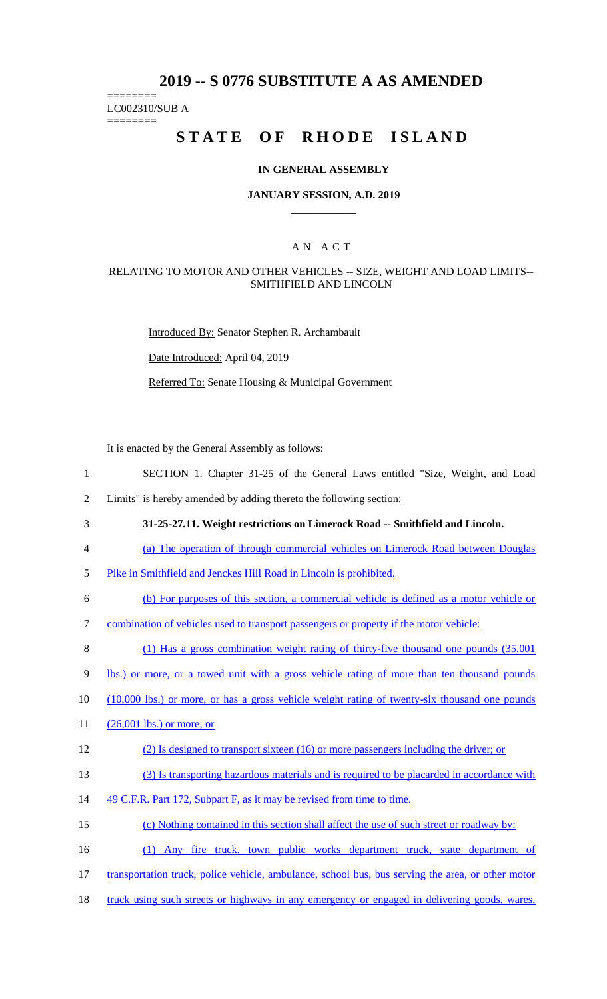# **2019 -- S 0776 SUBSTITUTE A AS AMENDED**

======== LC002310/SUB A

========

# **STATE OF RHODE ISLAND**

### **IN GENERAL ASSEMBLY**

### **JANUARY SESSION, A.D. 2019 \_\_\_\_\_\_\_\_\_\_\_\_**

## A N A C T

### RELATING TO MOTOR AND OTHER VEHICLES -- SIZE, WEIGHT AND LOAD LIMITS-- SMITHFIELD AND LINCOLN

Introduced By: Senator Stephen R. Archambault

Date Introduced: April 04, 2019

Referred To: Senate Housing & Municipal Government

It is enacted by the General Assembly as follows:

- 1 SECTION 1. Chapter 31-25 of the General Laws entitled "Size, Weight, and Load
- 2 Limits" is hereby amended by adding thereto the following section:
- 

3 **31-25-27.11. Weight restrictions on Limerock Road -- Smithfield and Lincoln.**

- 4 (a) The operation of through commercial vehicles on Limerock Road between Douglas
- 5 Pike in Smithfield and Jenckes Hill Road in Lincoln is prohibited.
- 6 (b) For purposes of this section, a commercial vehicle is defined as a motor vehicle or
- 7 combination of vehicles used to transport passengers or property if the motor vehicle:

8 (1) Has a gross combination weight rating of thirty-five thousand one pounds (35,001

9 lbs.) or more, or a towed unit with a gross vehicle rating of more than ten thousand pounds

- 10 (10,000 lbs.) or more, or has a gross vehicle weight rating of twenty-six thousand one pounds
- 11 (26,001 lbs.) or more; or

#### 12 (2) Is designed to transport sixteen (16) or more passengers including the driver; or

- 13 (3) Is transporting hazardous materials and is required to be placarded in accordance with
- 14 49 C.F.R. Part 172, Subpart F, as it may be revised from time to time.
- 15 (c) Nothing contained in this section shall affect the use of such street or roadway by:
- 16 (1) Any fire truck, town public works department truck, state department of
- 17 transportation truck, police vehicle, ambulance, school bus, bus serving the area, or other motor
- 18 truck using such streets or highways in any emergency or engaged in delivering goods, wares,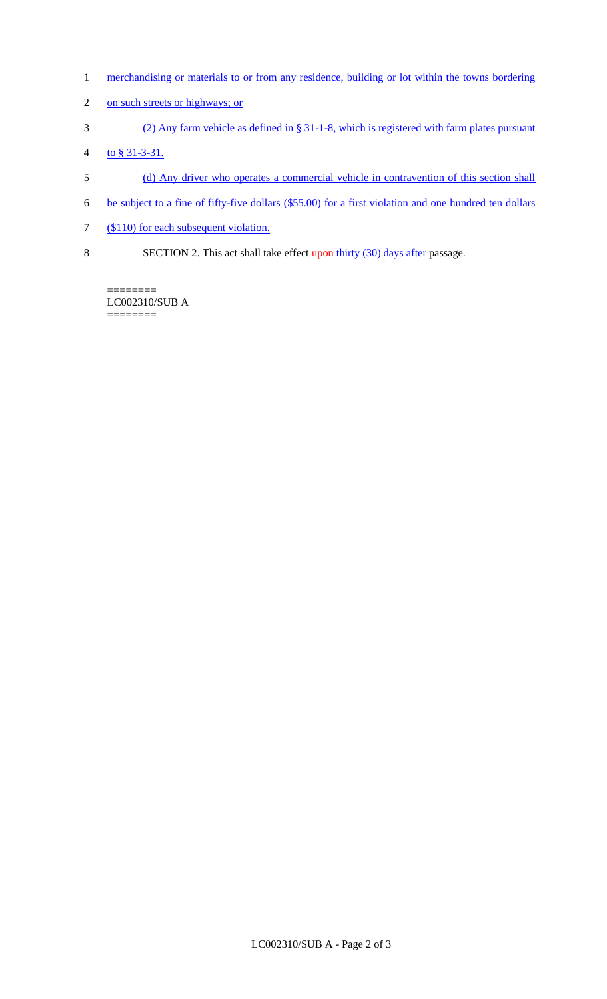- 1 merchandising or materials to or from any residence, building or lot within the towns bordering
- 2 on such streets or highways; or
- 3 (2) Any farm vehicle as defined in § 31-1-8, which is registered with farm plates pursuant
- 4 to § 31-3-31.
- 5 (d) Any driver who operates a commercial vehicle in contravention of this section shall
- 6 be subject to a fine of fifty-five dollars (\$55.00) for a first violation and one hundred ten dollars
- 7 (\$110) for each subsequent violation.
- 8 SECTION 2. This act shall take effect **upon thirty (30) days after passage.**

======== LC002310/SUB A  $=$